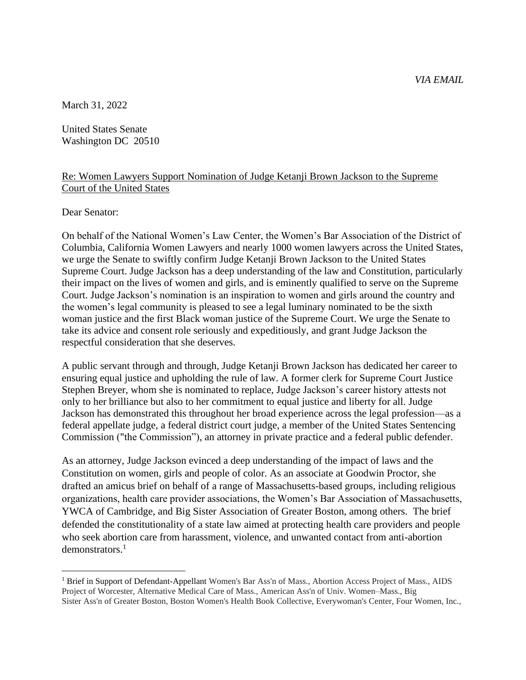*VIA EMAIL*

March 31, 2022

United States Senate Washington DC 20510

## Re: Women Lawyers Support Nomination of Judge Ketanji Brown Jackson to the Supreme Court of the United States

Dear Senator:

On behalf of the National Women's Law Center, the Women's Bar Association of the District of Columbia, California Women Lawyers and nearly 1000 women lawyers across the United States, we urge the Senate to swiftly confirm Judge Ketanji Brown Jackson to the United States Supreme Court. Judge Jackson has a deep understanding of the law and Constitution, particularly their impact on the lives of women and girls, and is eminently qualified to serve on the Supreme Court. Judge Jackson's nomination is an inspiration to women and girls around the country and the women's legal community is pleased to see a legal luminary nominated to be the sixth woman justice and the first Black woman justice of the Supreme Court. We urge the Senate to take its advice and consent role seriously and expeditiously, and grant Judge Jackson the respectful consideration that she deserves.

A public servant through and through, Judge Ketanji Brown Jackson has dedicated her career to ensuring equal justice and upholding the rule of law. A former clerk for Supreme Court Justice Stephen Breyer, whom she is nominated to replace, Judge Jackson's career history attests not only to her brilliance but also to her commitment to equal justice and liberty for all. Judge Jackson has demonstrated this throughout her broad experience across the legal profession—as a federal appellate judge, a federal district court judge, a member of the United States Sentencing Commission ("the Commission"), an attorney in private practice and a federal public defender.

As an attorney, Judge Jackson evinced a deep understanding of the impact of laws and the Constitution on women, girls and people of color. As an associate at Goodwin Proctor, she drafted an amicus brief on behalf of a range of Massachusetts-based groups, including religious organizations, health care provider associations, the Women's Bar Association of Massachusetts, YWCA of Cambridge, and Big Sister Association of Greater Boston, among others. The brief defended the constitutionality of a state law aimed at protecting health care providers and people who seek abortion care from harassment, violence, and unwanted contact from anti-abortion demonstrators. 1

<sup>&</sup>lt;sup>1</sup> Brief in Support of Defendant-Appellant Women's Bar Ass'n of Mass., Abortion Access Project of Mass., AIDS Project of Worcester, Alternative Medical Care of Mass., American Ass'n of Univ. Women–Mass., Big Sister Ass'n of Greater Boston, Boston Women's Health Book Collective, Everywoman's Center, Four Women, Inc.,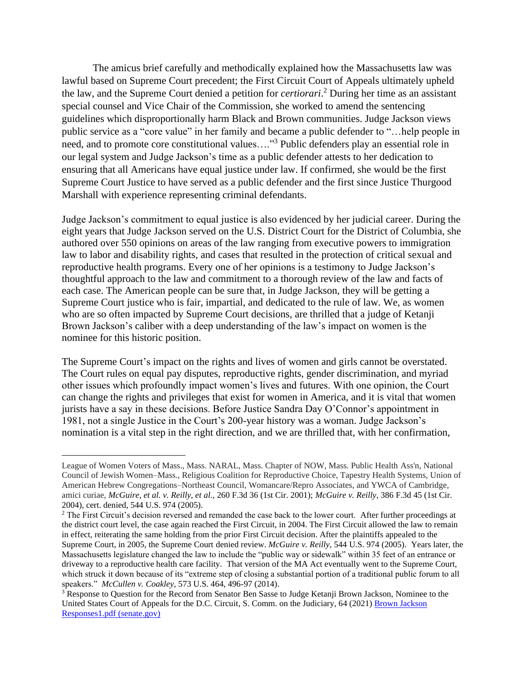The amicus brief carefully and methodically explained how the Massachusetts law was lawful based on Supreme Court precedent; the First Circuit Court of Appeals ultimately upheld the law, and the Supreme Court denied a petition for *certiorari*. <sup>2</sup> During her time as an assistant special counsel and Vice Chair of the Commission, she worked to amend the sentencing guidelines which disproportionally harm Black and Brown communities. Judge Jackson views public service as a "core value" in her family and became a public defender to "…help people in need, and to promote core constitutional values…."<sup>3</sup> Public defenders play an essential role in our legal system and Judge Jackson's time as a public defender attests to her dedication to ensuring that all Americans have equal justice under law. If confirmed, she would be the first Supreme Court Justice to have served as a public defender and the first since Justice Thurgood Marshall with experience representing criminal defendants.

Judge Jackson's commitment to equal justice is also evidenced by her judicial career. During the eight years that Judge Jackson served on the U.S. District Court for the District of Columbia, she authored over 550 opinions on areas of the law ranging from executive powers to immigration law to labor and disability rights, and cases that resulted in the protection of critical sexual and reproductive health programs. Every one of her opinions is a testimony to Judge Jackson's thoughtful approach to the law and commitment to a thorough review of the law and facts of each case. The American people can be sure that, in Judge Jackson, they will be getting a Supreme Court justice who is fair, impartial, and dedicated to the rule of law. We, as women who are so often impacted by Supreme Court decisions, are thrilled that a judge of Ketanji Brown Jackson's caliber with a deep understanding of the law's impact on women is the nominee for this historic position.

The Supreme Court's impact on the rights and lives of women and girls cannot be overstated. The Court rules on equal pay disputes, reproductive rights, gender discrimination, and myriad other issues which profoundly impact women's lives and futures. With one opinion, the Court can change the rights and privileges that exist for women in America, and it is vital that women jurists have a say in these decisions. Before Justice Sandra Day O'Connor's appointment in 1981, not a single Justice in the Court's 200-year history was a woman. Judge Jackson's nomination is a vital step in the right direction, and we are thrilled that, with her confirmation,

League of Women Voters of Mass., Mass. NARAL, Mass. Chapter of NOW, Mass. Public Health Ass'n, National Council of Jewish Women–Mass., Religious Coalition for Reproductive Choice, Tapestry Health Systems, Union of American Hebrew Congregations–Northeast Council, Womancare/Repro Associates, and YWCA of Cambridge, amici curiae, *McGuire, et al. v. Reilly, et al.,* 260 F.3d 36 (1st Cir. 2001); *McGuire v. Reilly*, 386 F.3d 45 (1st Cir. 2004), cert. denied, 544 U.S. 974 (2005).

<sup>&</sup>lt;sup>2</sup> The First Circuit's decision reversed and remanded the case back to the lower court. After further proceedings at the district court level, the case again reached the First Circuit, in 2004. The First Circuit allowed the law to remain in effect, reiterating the same holding from the prior First Circuit decision. After the plaintiffs appealed to the Supreme Court, in 2005, the Supreme Court denied review. *McGuire v. Reilly*, 544 U.S. 974 (2005). Years later, the Massachusetts legislature changed the law to include the "public way or sidewalk" within 35 feet of an entrance or driveway to a reproductive health care facility. That version of the MA Act eventually went to the Supreme Court, which struck it down because of its "extreme step of closing a substantial portion of a traditional public forum to all speakers." *McCullen v. Coakley*, 573 U.S. 464, 496-97 (2014).

<sup>&</sup>lt;sup>3</sup> Response to Question for the Record from Senator Ben Sasse to Judge Ketanji Brown Jackson, Nominee to the United States Court of Appeals for the D.C. Circuit, S. Comm. on the Judiciary, 64 (2021) Brown Jackson [Responses1.pdf \(senate.gov\)](https://www.judiciary.senate.gov/imo/media/doc/Brown%20Jackson%20Responses1.pdf)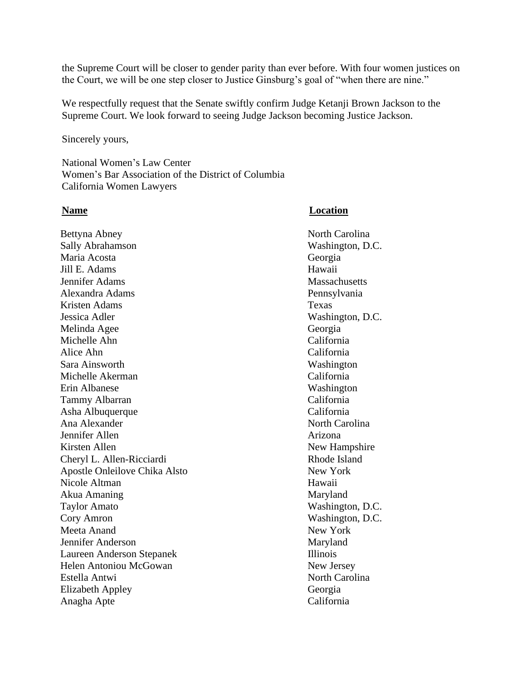the Supreme Court will be closer to gender parity than ever before. With four women justices on the Court, we will be one step closer to Justice Ginsburg's goal of "when there are nine."

We respectfully request that the Senate swiftly confirm Judge Ketanji Brown Jackson to the Supreme Court. We look forward to seeing Judge Jackson becoming Justice Jackson.

Sincerely yours,

National Women's Law Center Women's Bar Association of the District of Columbia California Women Lawyers

## **Name Location**

Bettyna Abney North Carolina Sally Abrahamson Washington, D.C. Maria Acosta Georgia Jill E. Adams Hawaii Jennifer Adams Massachusetts Alexandra Adams Pennsylvania Kristen Adams Texas Jessica Adler Washington, D.C. Melinda Agee Georgia Michelle Ahn California Alice Ahn California Sara Ainsworth Washington Michelle Akerman California Erin Albanese Washington Tammy Albarran California Asha Albuquerque California Ana Alexander North Carolina Jennifer Allen Arizona Kirsten Allen New Hampshire Cheryl L. Allen-Ricciardi Rhode Island Apostle Onleilove Chika Alsto New York Nicole Altman Hawaii Akua Amaning Maryland Taylor Amato Washington, D.C. Cory Amron Washington, D.C. Meeta Anand New York Jennifer Anderson Maryland Laureen Anderson Stepanek Illinois Helen Antoniou McGowan New Jersey Estella Antwi Elizabeth Appley Georgia Anagha Apte California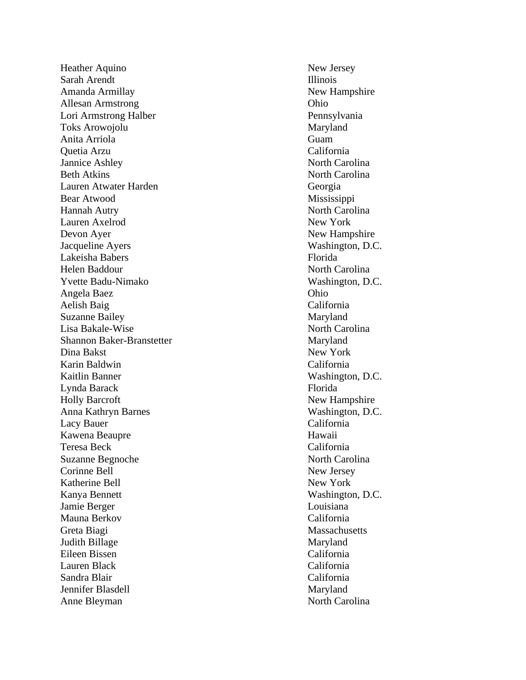Heather Aquino New Jersey Sarah Arendt Illinois Amanda Armillay New Hampshire Allesan Armstrong Ohio Lori Armstrong Halber Pennsylvania Toks Arowojolu Maryland Anita Arriola Guam Quetia Arzu California Jannice Ashley North Carolina Beth Atkins North Carolina Lauren Atwater Harden Georgia Bear Atwood Mississippi Hannah Autry North Carolina Lauren Axelrod New York Devon Ayer New Hampshire Jacqueline Ayers Washington, D.C. Lakeisha Babers Florida Helen Baddour North Carolina Yvette Badu Angela Baez Ohio Aelish Baig California Suzanne Bailey Maryland Lisa Bakale Shannon Baker-Branstetter Maryland Dina Bakst New York Karin Baldwin California Kaitlin Banner Washington, D.C. Lynda Barack Florida Holly Barcroft New Hampshire Anna Kathryn Barnes Washington, D.C. Lacy Bauer California Kawena Beaupre **Hawaii** Teresa Beck California Suzanne Begnoche North Carolina Corinne Bell New Jersey Katherine Bell New York Kanya Bennett Washington, D.C. Jamie Berger Louisiana Mauna Berkov California Greta Biagi Massachusetts Judith Billage Eileen Bissen California Lauren Black California Sandra Blair California Jennifer Blasdell Maryland Anne Bleyman North Carolina

Washington, D.C. North Carolina Maryland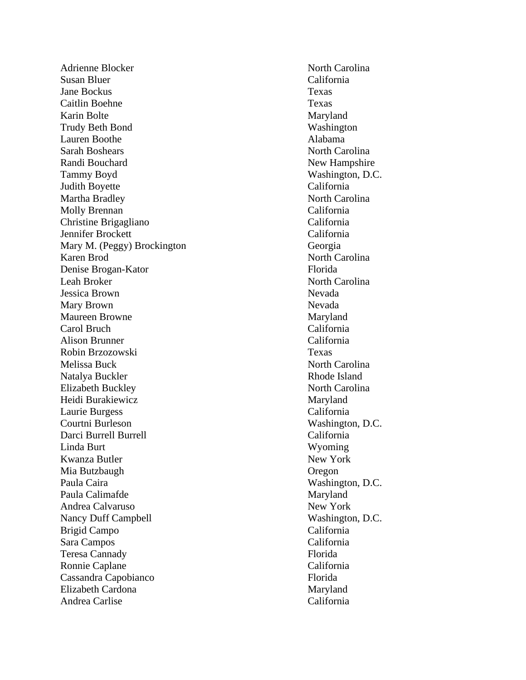Adrienne Blocker North Carolina Susan Bluer California Jane Bockus Texas Caitlin Boehne Texas Karin Bolte Maryland Trudy Beth Bond Washington Lauren Boothe Alabama Sarah Boshears North Carolina Randi Bouchard New Hampshire Tammy Boyd Washington, D.C. Judith Boyette California Martha Bradley North Carolina Molly Brennan California Christine Brigagliano California Jennifer Brockett California Mary M. (Peggy) Brockington Georgia Karen Brod North Carolina Denise Brogan -Kator Florida Leah Broker North Carolina Jessica Brown Nevada Mary Brown Nevada Maureen Browne Maryland Carol Bruch California Alison Brunner California Robin Brzozowski Texas Melissa Buck North Carolina Natalya Buckler Rhode Island Elizabeth Buckley North Carolina Heidi Burakiewicz Maryland Laurie Burgess California Courtni Burleson Washington, D.C. Darci Burrell Burrell **California** Linda Burt Wyoming Kwanza Butler New York Mia Butzbaugh Oregon Paula Caira Washington, D.C. Paula Calimafde Maryland Andrea Calvaruso New York Nancy Duff Campbell Washington, D.C. Brigid Campo California Sara Campos California Teresa Cannady Florida Ronnie Caplane California Cassandra Capobianco Florida Elizabeth Cardona Maryland Andrea Carlise California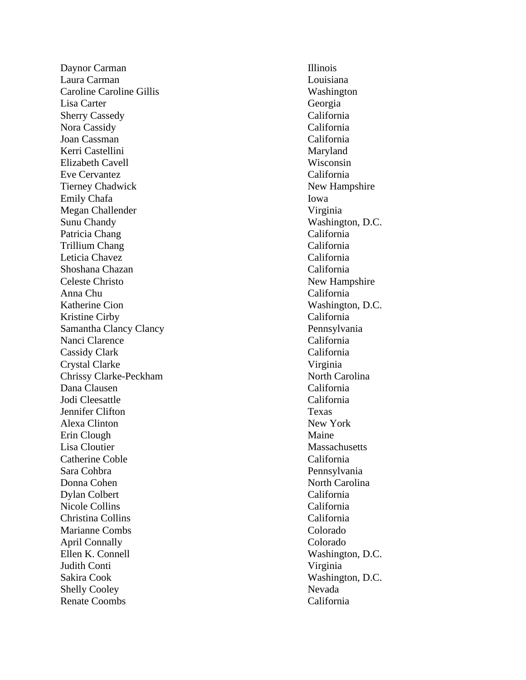Daynor Carman Illinois Laura Carman Louisiana Caroline Caroline Gillis Washington Lisa Carter Georgia Sherry Cassedy California Nora Cassidy California Joan Cassman California Kerri Castellini Maryland Elizabeth Cavell Wisconsin Eve Cervantez California Tierney Chadwick New Hampshire Emily Chafa Iowa Megan Challender Virginia Sunu Chandy Washington, D.C. Patricia Chang California Trillium Chang California Leticia Chavez California Shoshana Chazan California Celeste Christo New Hampshire Anna Chu California Katherine Cion Washington, D.C. Kristine Cirby California Samantha Clancy Clancy Pennsylvania Nanci Clarence California Cassidy Clark California Crystal Clarke Virginia Chrissy Clarke Dana Clausen California Jodi Cleesattle California Jennifer Clifton Texas Alexa Clinton New York Erin Clough Maine Lisa Cloutier and Communications of the Massachusetts Massachusetts and Massachusetts and Massachusetts and Massachusetts and Massachusetts and Massachusetts and Massachusetts and Massachusetts and Massachusetts and Massac Catherine Coble California Sara Cohbra Pennsylvania Donna Cohen North Carolina Dylan Colbert California Nicole Collins California Christina Collins California Marianne Combs Colorado April Connally Colorado Ellen K. Connell Washington, D.C. Judith Conti Virginia Sakira Cook Washington, D.C. Shelly Cooley Nevada Renate Coombs California

North Carolina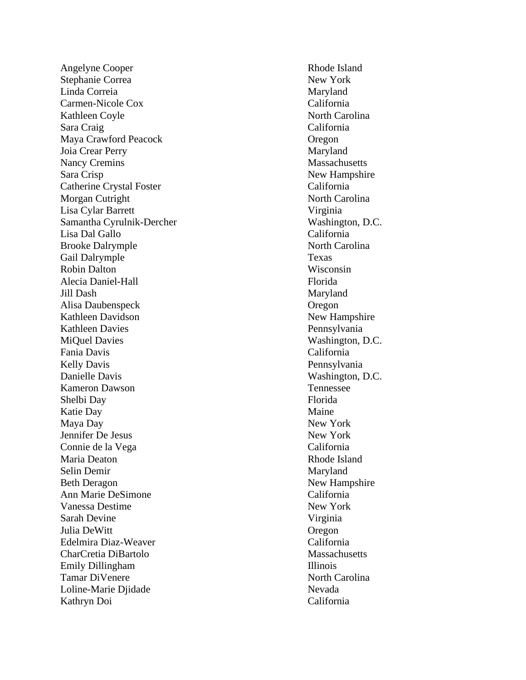Angelyne Cooper Rhode Island Stephanie Correa New York Linda Correia **Maryland** Carmen -Nicole Cox California Kathleen Coyle North Carolina Sara Craig California Maya Crawford Peacock Oregon Joia Crear Perry Maryland Nancy Cremins Massachusetts Sara Crisp New Hampshire Catherine Crystal Foster California Morgan Cutright North Carolina Lisa Cylar Barrett Virginia Samantha Cyrulnik Lisa Dal Gallo California Brooke Dalrymple North Carolina Gail Dalrymple Texas Robin Dalton Wisconsin Alecia Daniel Jill Dash Maryland Alisa Daubenspeck Oregon Kathleen Davidson New Hampshire Kathleen Davies Pennsylvania MiQuel Davies Washington, D.C. Fania Davis California Kelly Davis Pennsylvania Danielle Davis Washington, D.C. Kameron Dawson Tennessee Shelbi Day Florida Katie Day Maine Maya Day New York Jennifer De Jesus New York Connie de la Vega California Maria Deaton **Rhode Island** Rhode Island Selin Demir Maryland Beth Deragon New Hampshire Ann Marie DeSimone California Vanessa Destime New York Sarah Devine Virginia Julia DeWitt Christian Cregon Edelmira Diaz CharCretia DiBartolo Massachusetts Emily Dillingham Illinois Tamar DiVenere North Carolina Loline-Marie Djidade Nevada Kathryn Doi California

Washington, D.C. Florida California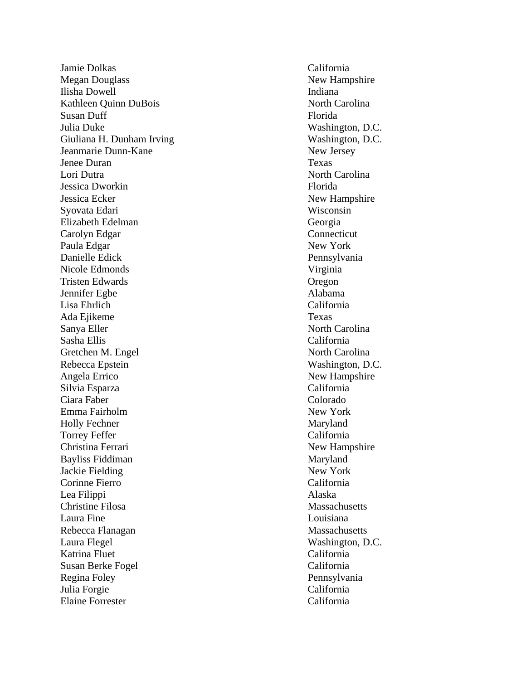Jamie Dolkas California Megan Douglass New Hampshire Ilisha Dowell **Indiana** Kathleen Quinn DuBois North Carolina Susan Duff Florida Julia Duke Washington, D.C. Giuliana H. Dunham Irving Washington, D.C. Jeanmarie Dunn Jenee Duran Texas Lori Dutra North Carolina Jessica Dworkin Florida Jessica Ecker New Hampshire Syovata Edari Wisconsin Elizabeth Edelman Georgia Carolyn Edgar Connecticut Paula Edgar New York Danielle Edick Pennsylvania Nicole Edmonds Virginia Tristen Edwards Oregon Jennifer Egbe Alabama Lisa Ehrlich California Ada Ejikeme Texas Sanya Eller North Carolina Sasha Ellis California Gretchen M. Engel North Carolina Rebecca Epstein Washington, D.C. Angela Errico New Hampshire Silvia Esparza California Ciara Faber Colorado Emma Fairholm New York Holly Fechner Maryland Torrey Feffer California Christina Ferrari New Hampshire Bayliss Fiddiman Maryland Jackie Fielding New York Corinne Fierro California Lea Filippi Alaska Christine Filosa Massachusetts Laura Fine Louisiana Rebecca Flanagan Massachusetts Laura Flegel Washington, D.C. Katrina Fluet California Susan Berke Fogel California Regina Foley Pennsylvania Julia Forgie California Elaine Forrester California

New Jersey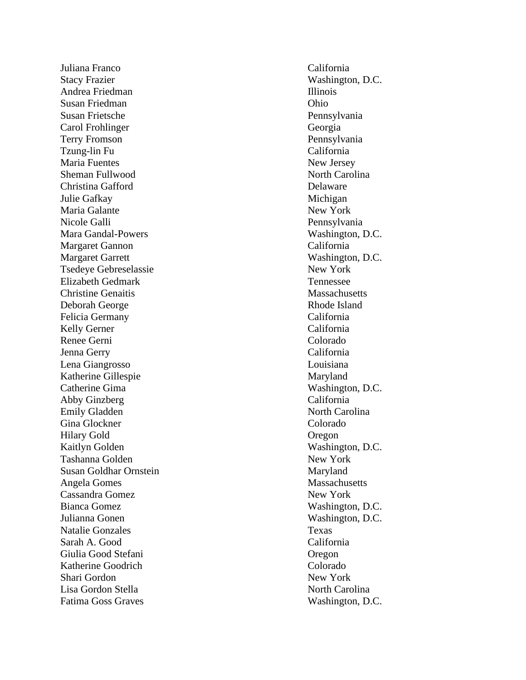Juliana Franco California Stacy Frazier Washington, D.C. Andrea Friedman Illinois Susan Friedman Ohio Susan Frietsche Pennsylvania Carol Frohlinger Georgia Terry Fromson Pennsylvania Tzung-lin Fu Maria Fuentes New Jersey Sheman Fullwood North Carolina Christina Gafford Delaware Julie Gafkay Michigan Maria Galante New York Nicole Galli Pennsylvania Mara Gandal-Powers Margaret Gannon California Margaret Garrett Washington, D.C. Tsedeye Gebreselassie New York Elizabeth Gedmark Tennessee **Christine Genaitis Massachusetts** Massachusetts Deborah George Rhode Island Felicia Germany California Kelly Gerner California Renee Gerni Colorado Jenna Gerry California Lena Giangrosso Louisiana Katherine Gillespie Maryland Catherine Gima Washington, D.C. Abby Ginzberg California Emily Gladden North Carolina Gina Glockner Colorado Hilary Gold Oregon Kaitlyn Golden Washington, D.C. Tashanna Golden New York Susan Goldhar Ornstein Maryland Angela Gomes Massachusetts Cassandra Gomez New York Bianca Gomez Washington, D.C. Julianna Gonen Washington, D.C. Natalie Gonzales Texas Sarah A. Good California Giulia Good Stefani Oregon Katherine Goodrich Colorado Shari Gordon New York Lisa Gordon Stella North Carolina Fatima Goss Graves Washington, D.C.

California Washington, D.C.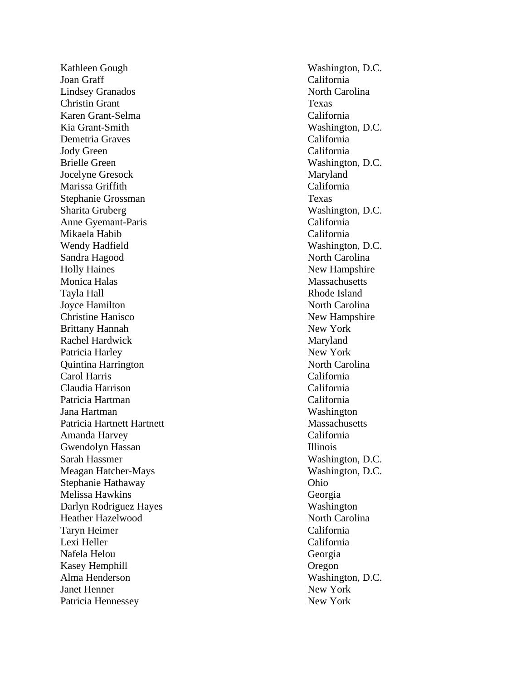Kathleen Gough Washington, D.C. Joan Graff California Lindsey Granados North Carolina **Christin Grant** Texas Karen Grant Kia Grant Demetria Graves California Jody Green California Brielle Green Washington, D.C. Jocelyne Gresock Maryland Marissa Griffith California Stephanie Grossman Texas Sharita Gruberg Washington, D.C. Anne Gyemant Mikaela Habib California Wendy Hadfield Washington, D.C. Sandra Hagood North Carolina Holly Haines New Hampshire Monica Halas Massachusetts Tayla Hall Rhode Island Joyce Hamilton North Carolina Christine Hanisco<br>
New Hampshire Brittany Hannah New York Rachel Hardwick Maryland Patricia Harley New York Quintina Harrington North Carolina Carol Harris California Claudia Harrison California Patricia Hartman California Jana Hartman Washington Patricia Hartnett Hartnett Massachusetts Amanda Harvey California Gwendolyn Hassan Illinois Sarah Hassmer Washington, D.C. Meagan Hatcher Stephanie Hathaway Ohio Melissa Hawkins Georgia Darlyn Rodriguez Hayes Washington Heather Hazelwood North Carolina Taryn Heimer California Lexi Heller California Nafela Helou Georgia Kasey Hemphill Oregon Alma Henderson Washington, D.C. **Janet Henner** New York Patricia Hennessey New York

California Washington, D.C. California Washington, D.C.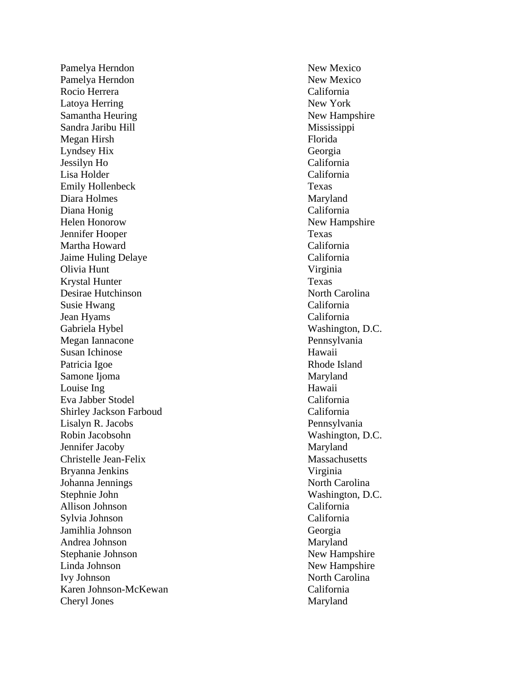Pamelya Herndon New Mexico Pamelya Herndon New Mexico Rocio Herrera California Latoya Herring New York Samantha Heuring New Hampshire Sandra Jaribu Hill Mississippi Megan Hirsh Florida Lyndsey Hix Georgia Jessilyn Ho California Lisa Holder Emily Hollenbeck Texas Diara Holmes Maryland Diana Honig California Helen Honorow New Hampshire **Jennifer Hooper** Texas Martha Howard California Jaime Huling Delaye California Olivia Hunt Virginia Krystal Hunter Texas Desirae Hutchinson North Carolina Susie Hwang California Jean Hyams California Gabriela Hybel Washington, D.C. Megan Iannacone Pennsylvania Susan Ichinose Hawaii Patricia Igoe Rhode Island Samone Ijoma Maryland Louise Ing Hawaii Eva Jabber Stodel California Shirley Jackson Farboud California Lisalyn R. Jacobs Pennsylvania Robin Jacobsohn Washington, D.C. Jennifer Jacoby Maryland Christelle Jean Bryanna Jenkins Virginia Johanna Jennings North Carolina Stephnie John Washington, D.C. Allison Johnson California Sylvia Johnson California Jamihlia Johnson Georgia Andrea Johnson Maryland Stephanie Johnson New Hampshire Linda Johnson New Hampshire Ivy Johnson North Carolina Karen Johnson -McKewan California Cheryl Jones Maryland

California Massachusetts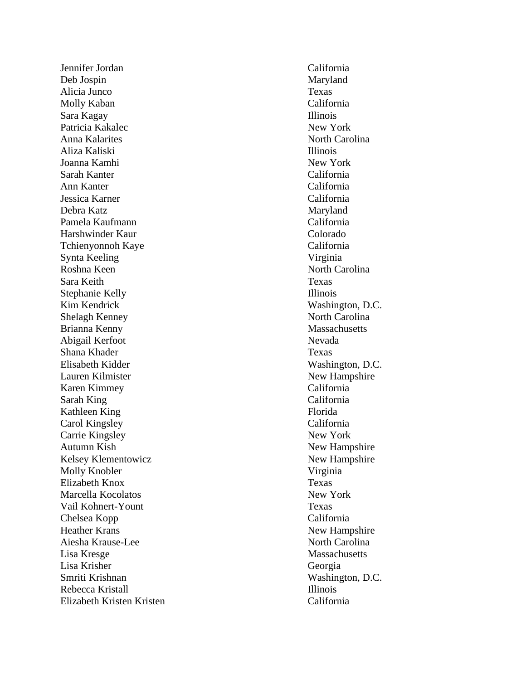Jennifer Jordan California Deb Jospin Maryland Alicia Junco Texas Molly Kaban California Sara Kagay Illinois Patricia Kakalec New York Anna Kalarites North Carolina Aliza Kaliski Illinois Joanna Kamhi New York Sarah Kanter California Ann Kanter California Jessica Karner California Debra Katz Maryland Pamela Kaufmann California Harshwinder Kaur Colorado Tchienyonnoh Kaye California Synta Keeling Virginia Roshna Keen North Carolina Sara Keith Texas Stephanie Kelly Illinois Kim Kendrick Washington, D.C. Shelagh Kenney North Carolina Brianna Kenny Massachusetts Abigail Kerfoot Nevada Shana Khader Texas Elisabeth Kidder Washington, D.C. Lauren Kilmister New Hampshire Karen Kimmey California Sarah King California Kathleen King Florida Carol Kingsley California Carrie Kingsley New York Autumn Kish New Hampshire Kelsey Klementowicz New Hampshire Molly Knobler Virginia Elizabeth Knox Texas Marcella Kocolatos New York Vail Kohnert -Yount Texas Chelsea Kopp California Heather Krans New Hampshire Aiesha Krause Lisa Kresge Massachusetts Lisa Krisher Georgia Smriti Krishnan Washington, D.C. Rebecca Kristall **Illinois** Illinois Elizabeth Kristen Kristen California

North Carolina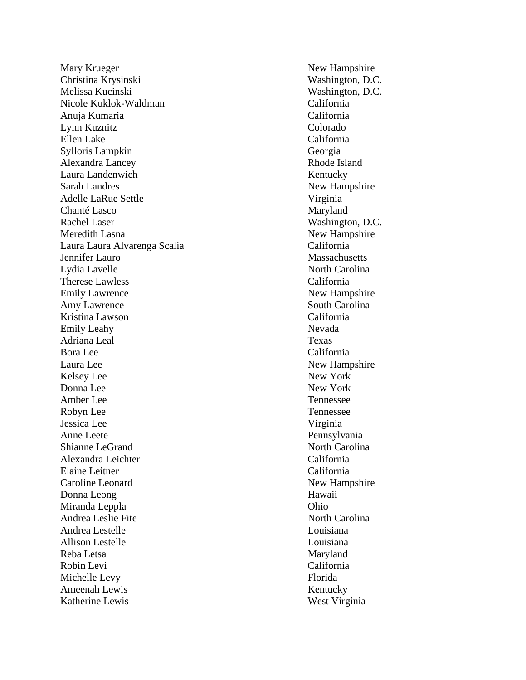Mary Krueger New Hampshire Christina Krysinski Washington, D.C. Melissa Kucinski Washington, D.C. Nicole Kuklok -Waldman California Anuja Kumaria California Lynn Kuznitz Colorado Ellen Lake California Sylloris Lampkin Georgia Alexandra Lancey Rhode Island Laura Landenwich Kentucky Sarah Landres New Hampshire Adelle LaRue Settle Virginia Chanté Lasco Maryland Rachel Laser Washington, D.C. Meredith Lasna New Hampshire Laura Laura Alvarenga Scalia California Jennifer Lauro Massachusetts Lydia Lavelle North Carolina Therese Lawless California Emily Lawrence New Hampshire Amy Lawrence South Carolina Kristina Lawson California Emily Leahy Nevada Adriana Leal Texas Bora Lee California Laura Lee New Hampshire Kelsey Lee New York Donna Lee New York Amber Lee Tennessee Robyn Lee Tennessee Jessica Lee Virginia Anne Leete Pennsylvania Shianne LeGrand North Carolina Alexandra Leichter California Elaine Leitner California Caroline Leonard New Hampshire Donna Leong Hawaii Miranda Leppla Ohio Andrea Leslie Fite North Carolina Andrea Lestelle Louisiana Allison Lestelle Louisiana Reba Letsa Maryland Robin Levi California Michelle Levy Florida Ameenah Lewis Kentucky Katherine Lewis West Virginia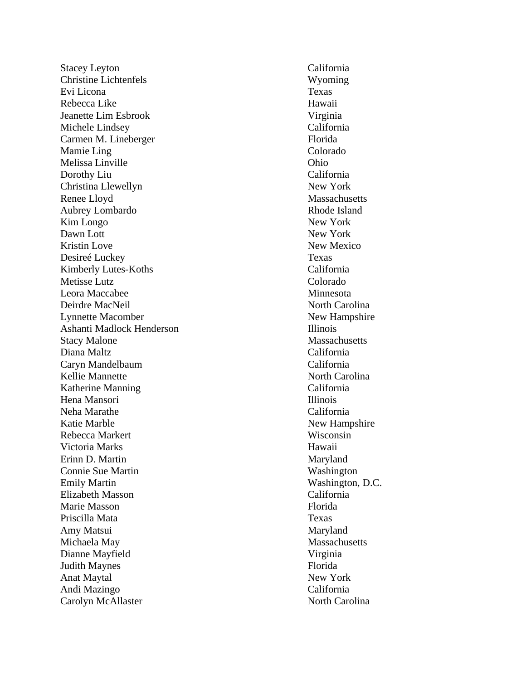Stacey Leyton California Christine Lichtenfels Wyoming Evi Licona Texas Rebecca Like Hawaii Jeanette Lim Esbrook Virginia Michele Lindsey California Carmen M. Lineberger Florida Mamie Ling Colorado Melissa Linville Ohio Dorothy Liu California Christina Llewellyn New York Renee Lloyd Massachusetts Aubrey Lombardo Rhode Island Kim Longo New York Dawn Lott New York Kristin Love New Mexico Desireé Luckey Texas Kimberly Lutes-Koths Metisse Lutz Colorado Leora Maccabee Minnesota Deirdre MacNeil North Carolina Lynnette Macomber New Hampshire Ashanti Madlock Henderson Illinois Stacy Malone Massachusetts Diana Maltz California Caryn Mandelbaum California Kellie Mannette North Carolina Katherine Manning California Hena Mansori **Illinois** Neha Marathe California Katie Marble New Hampshire Rebecca Markert Wisconsin Victoria Marks Hawaii Erinn D. Martin Maryland Connie Sue Martin Washington Emily Martin Washington, D.C. Elizabeth Masson California Marie Masson Florida Priscilla Mata Texas Amy Matsui Michaela May Massachusetts Dianne Mayfield Virginia Judith Maynes Florida Anat Maytal New York Andi Mazingo California Carolyn McAllaster North Carolina

California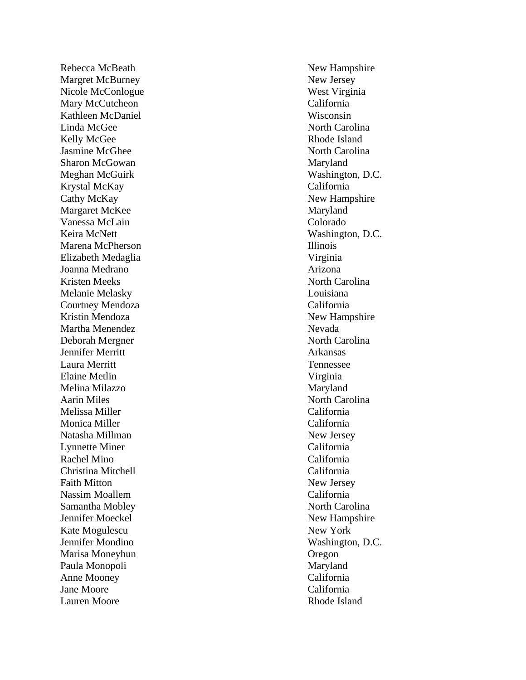Margret McBurney New Jersey Nicole McConlogue West Virginia Mary McCutcheon California Kathleen McDaniel Wisconsin Linda McGee North Carolina Kelly McGee Rhode Island Jasmine McGhee North Carolina Sharon McGowan Maryland Meghan McGuirk Washington, D.C. Krystal McKay California Cathy McKay New Hampshire Margaret McKee Maryland Vanessa McLain Colorado Keira McNett Washington, D.C. Marena McPherson Illinois Elizabeth Medaglia Virginia Joanna Medrano **Arizona** Kristen Meeks North Carolina Melanie Melasky Louisiana Courtney Mendoza California Kristin Mendoza New Hampshire Martha Menendez Nevada Deborah Mergner North Carolina Jennifer Merritt Arkansas Laura Merritt Tennessee Elaine Metlin Virginia Melina Milazzo Maryland Aarin Miles North Carolina Melissa Miller California Monica Miller California Natasha Millman New Jersey Lynnette Miner California Rachel Mino California Christina Mitchell California Faith Mitton New Jersey Nassim Moallem California Samantha Mobley North Carolina Jennifer Moeckel New Hampshire Kate Mogulescu New York Jennifer Mondino Washington, D.C. Marisa Moneyhun Oregon Paula Monopoli Maryland Anne Mooney California Jane Moore California Lauren Moore **Rhode Island** 

Rebecca McBeath New Hampshire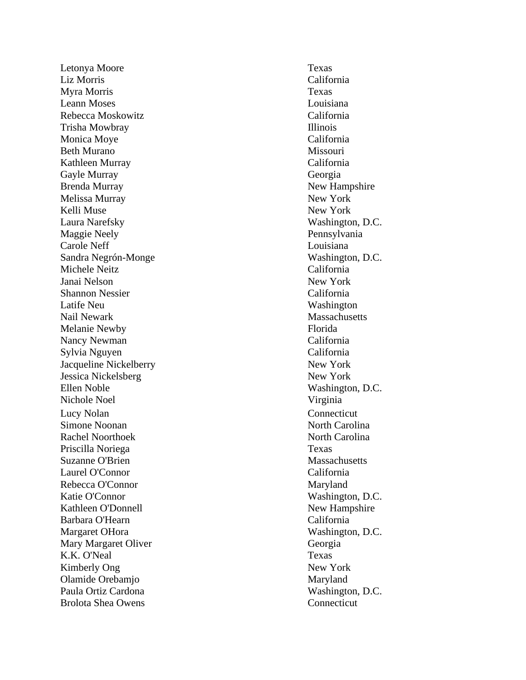Letonya Moore Texas Liz Morris California Myra Morris Texas Leann Moses Louisiana Rebecca Moskowitz California Trisha Mowbray Illinois Monica Moye California Beth Murano Missouri Kathleen Murray California Gayle Murray Georgia Brenda Murray New Hampshire Melissa Murray New York Kelli Muse New York Laura Narefsky Washington, D.C. Maggie Neely Pennsylvania Carole Neff Louisiana Sandra Negrón Michele Neitz California Janai Nelson New York Shannon Nessier California Latife Neu Washington Nail Newark Massachusetts Melanie Newby Florida Nancy Newman California Sylvia Nguyen California Jacqueline Nickelberry New York Jessica Nickelsberg New York Ellen Noble Washington, D.C. Nichole Noel Virginia Lucy Nolan Connecticut Simone Noonan North Carolina Rachel Noorthoek North Carolina Priscilla Noriega Texas Suzanne O'Brien and the Suzanne O'Brien and the Massachusetts Massachusetts Laurel O'Connor California Rebecca O'Connor Maryland Katie O'Connor Washington, D.C. Kathleen O'Donnell New Hampshire Barbara O'Hearn California Margaret OHora Washington, D.C. Mary Margaret Oliver Georgia K.K. O'Neal Texas Kimberly Ong New York Olamide Orebamjo Maryland Paula Ortiz Cardona Washington, D.C. Brolota Shea Owens Connecticut

Washington, D.C.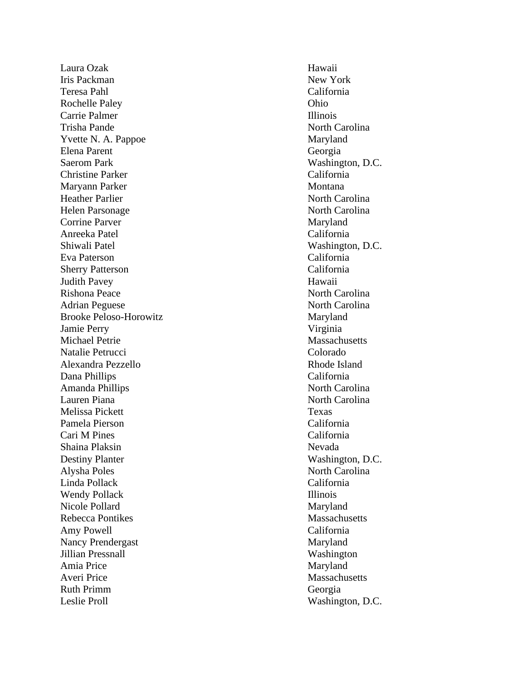Laura Ozak Hawaii **Iris Packman** New York Teresa Pahl California Rochelle Paley Ohio Carrie Palmer **Illinois** Trisha Pande North Carolina Yvette N. A. Pappoe Maryland Elena Parent Georgia Saerom Park Washington, D.C. Christine Parker California Maryann Parker Montana Heather Parlier North Carolina Helen Parsonage North Carolina Corrine Parver Maryland Anreeka Patel California Shiwali Patel Washington, D.C. Eva Paterson California Sherry Patterson California Judith Pavey Hawaii Rishona Peace North Carolina Adrian Peguese North Carolina Brooke Peloso-Horowitz Maryland Jamie Perry Virginia Michael Petrie Massachusetts Natalie Petrucci Colorado Alexandra Pezzello Rhode Island Dana Phillips California Amanda Phillips North Carolina Lauren Piana **North Carolina** North Carolina Melissa Pickett Texas Pamela Pierson California Cari M Pines California Shaina Plaksin Nevada Destiny Planter Washington, D.C. Alysha Poles North Carolina Linda Pollack California Wendy Pollack Illinois Nicole Pollard Maryland Rebecca Pontikes Massachusetts Amy Powell California Nancy Prendergast Maryland Jillian Pressnall Washington Amia Price Maryland Averi Price Massachusetts Ruth Primm Georgia Leslie Proll Washington, D.C.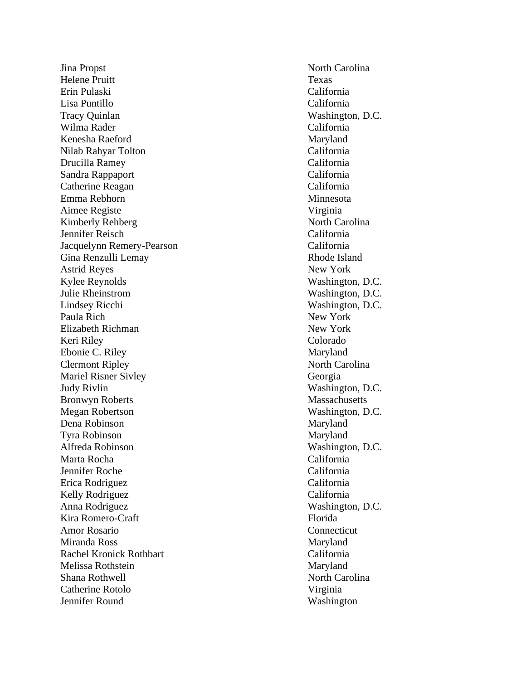Jina Propst North Carolina Helene Pruitt Texas Erin Pulaski California Lisa Puntillo California Tracy Quinlan Washington, D.C. Wilma Rader California Kenesha Raeford Maryland Nilab Rahyar Tolton California Drucilla Ramey California Sandra Rappaport California Catherine Reagan California Emma Rebhorn Minnesota Aimee Registe Virginia Kimberly Rehberg North Carolina Jennifer Reisch California Jacquelynn Remery -Pearson California Gina Renzulli Lemay Rhode Island Astrid Reyes New York Kylee Reynolds Washington, D.C. Julie Rheinstrom Washington, D.C. Lindsey Ricchi Washington, D.C. Paula Rich New York Elizabeth Richman New York Keri Riley Colorado Ebonie C. Riley Maryland Clermont Ripley North Carolina Mariel Risner Sivley Georgia Judy Rivlin Washington, D.C. Bronwyn Roberts Massachusetts Megan Robertson Washington, D.C. Dena Robinson Maryland Tyra Robinson Maryland Alfreda Robinson Washington, D.C. Marta Rocha California Jennifer Roche California Erica Rodriguez California Kelly Rodriguez California Anna Rodriguez Washington, D.C. Kira Romero Amor Rosario Connecticut Miranda Ross Maryland Rachel Kronick Rothbart California Melissa Rothstein Maryland Shana Rothwell North Carolina Catherine Rotolo Virginia Jennifer Round Washington

Florida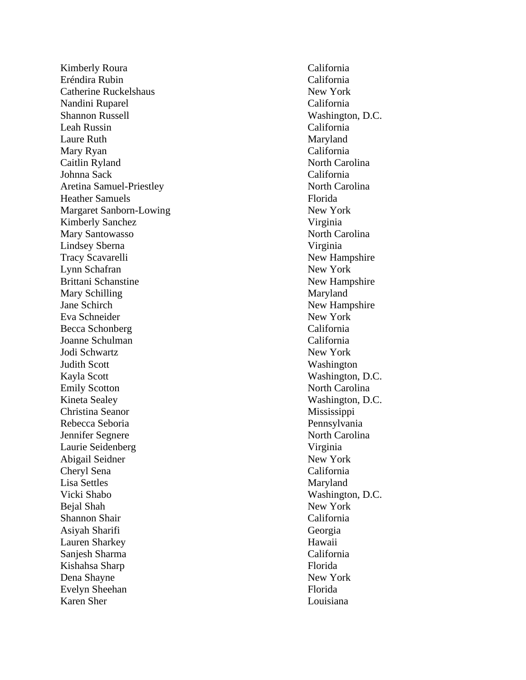Kimberly Roura California Eréndira Rubin California Catherine Ruckelshaus New York Nandini Ruparel California Shannon Russell Washington, D.C. Leah Russin California Laure Ruth Maryland Mary Ryan California Caitlin Ryland North Carolina Johnna Sack California Aretina Samuel Heather Samuels Florida Margaret Sanborn-Lowing Kimberly Sanchez Virginia Mary Santowasso North Carolina Lindsey Sberna Virginia Tracy Scavarelli New Hampshire Lynn Schafran New York Brittani Schanstine New Hampshire Mary Schilling Maryland Jane Schirch New Hampshire Eva Schneider New York Becca Schonberg California Joanne Schulman California Jodi Schwartz New York Judith Scott Washington Kayla Scott Washington, D.C. Emily Scotton North Carolina Kineta Sealey Washington, D.C. Christina Seanor Mississippi Rebecca Seboria Pennsylvania Jennifer Segnere North Carolina Laurie Seidenberg Virginia Abigail Seidner New York Cheryl Sena California Lisa Settles Maryland Vicki Shabo Washington, D.C. Bejal Shah New York Shannon Shair California Asiyah Sharifi Georgia Lauren Sharkey Hawaii Sanjesh Sharma California Kishahsa Sharp Florida Dena Shayne New York Evelyn Sheehan Florida Karen Sher Louisiana

North Carolina New York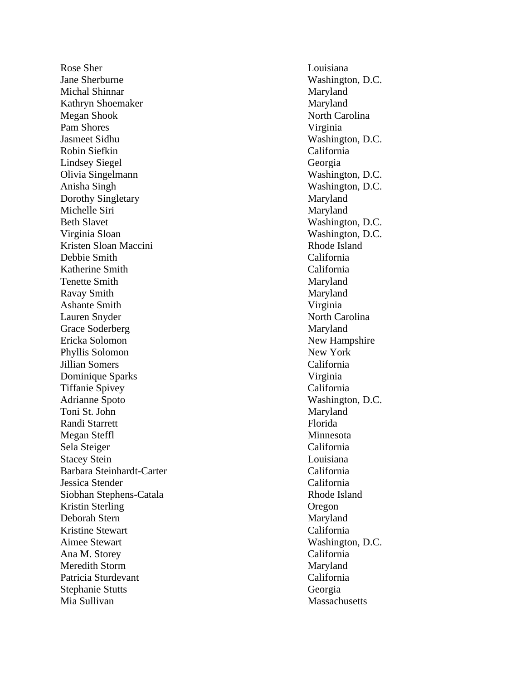Rose Sher Louisiana **Jane Sherburne Washington, D.C.** Washington, D.C. Michal Shinnar Maryland Kathryn Shoemaker Maryland Megan Shook North Carolina Pam Shores Virginia Jasmeet Sidhu Washington, D.C. Robin Siefkin California Lindsey Siegel Georgia Olivia Singelmann Washington, D.C. Anisha Singh Washington, D.C. Dorothy Singletary Maryland Michelle Siri Maryland Beth Slavet Washington, D.C. Virginia Sloan Washington, D.C. Kristen Sloan Maccini Rhode Island Debbie Smith California Katherine Smith California Tenette Smith Maryland Ravay Smith Maryland Ashante Smith Virginia Lauren Snyder North Carolina Grace Soderberg Maryland Ericka Solomon New Hampshire Phyllis Solomon New York Jillian Somers California Dominique Sparks Virginia Tiffanie Spivey California Adrianne Spoto Washington, D.C. Toni St. John Maryland Randi Starrett Florida Megan Steffl Minnesota Sela Steiger California Stacey Stein Louisiana Barbara Steinhardt Jessica Stender California Siobhan Stephens Kristin Sterling Oregon Deborah Stern Maryland Kristine Stewart California Aimee Stewart Washington, D.C. Ana M. Storey California Meredith Storm Maryland Patricia Sturdevant California Stephanie Stutts Georgia Mia Sullivan Massachusetts

California Rhode Island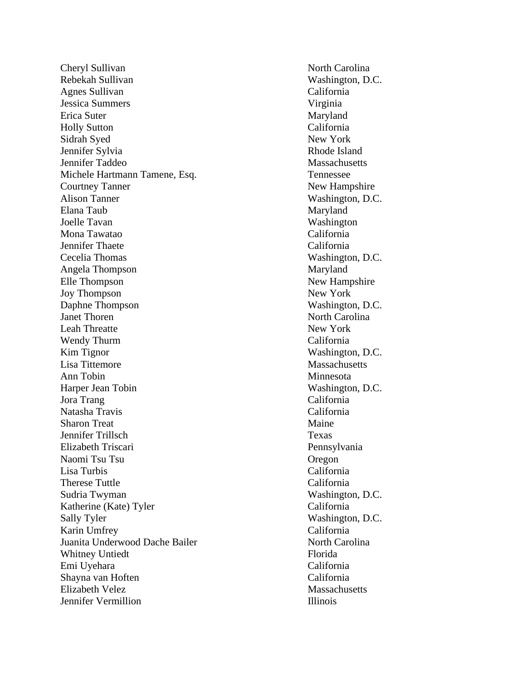Cheryl Sullivan North Carolina Rebekah Sullivan Washington, D.C. Agnes Sullivan California Jessica Summers Virginia Erica Suter Maryland Holly Sutton California Sidrah Syed New York Jennifer Sylvia Rhode Island Jennifer Taddeo Massachusetts Michele Hartmann Tamene, Esq. Tennessee Courtney Tanner New Hampshire Alison Tanner Washington, D.C. Elana Taub Maryland Joelle Tavan Washington Mona Tawatao California Jennifer Thaete California Cecelia Thomas Washington, D.C. Angela Thompson Maryland Elle Thompson New Hampshire Joy Thompson New York Daphne Thompson Washington, D.C.<br>Janet Thoren Worth Carolina Leah Threatte New York Wendy Thurm California Kim Tignor Washington, D.C. Lisa Tittemore Massachusetts Ann Tobin Minnesota Harper Jean Tobin Washington, D.C. Jora Trang California Natasha Travis California Sharon Treat Maine Jennifer Trillsch Texas Elizabeth Triscari Pennsylvania Naomi Tsu Tsu Oregon Lisa Turbis California Therese Tuttle California Sudria Twyman Washington, D.C. Katherine (Kate) Tyler California Sally Tyler Washington, D.C. Karin Umfrey California Juanita Underwood Dache Bailer North Carolina Whitney Untiedt Florida Emi Uyehara California Shayna van Hoften California Elizabeth Velez Massachusetts **Jennifer Vermillion** Illinois **Illinois** 

North Carolina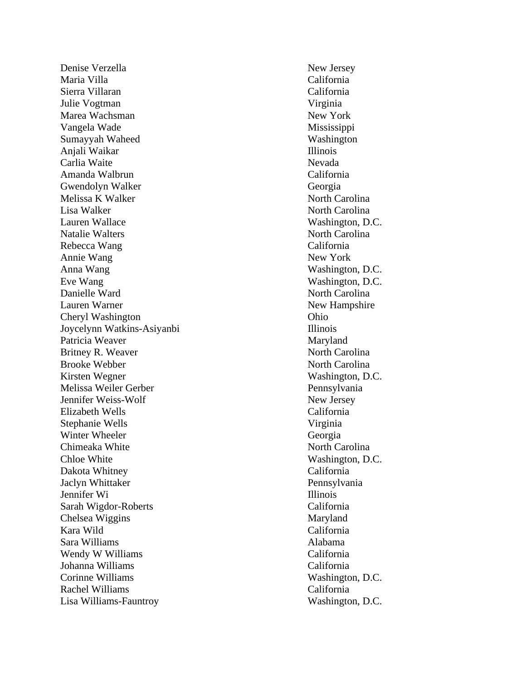Denise Verzella New Jersey Maria Villa California Sierra Villaran California Julie Vogtman Virginia Marea Wachsman New York Vangela Wade Mississippi Sumayyah Waheed Washington Anjali Waikar Illinois Carlia Waite Nevada Amanda Walbrun California Gwendolyn Walker Georgia Melissa K Walker North Carolina Lisa Walker North Carolina Lauren Wallace Washington, D.C. Natalie Walters North Carolina Rebecca Wang California Annie Wang New York Anna Wang Washington, D.C. Eve Wang Washington, D.C. Danielle Ward North Carolina Lauren Warner New Hampshire Cheryl Washington Ohio Joycelynn Watkins -Asiyanbi Illinois Patricia Weaver Maryland Britney R. Weaver North Carolina Brooke Webber North Carolina Kirsten Wegner Washington, D.C. Melissa Weiler Gerber **Pennsylvania** Jennifer Weiss Elizabeth Wells California Stephanie Wells Virginia Winter Wheeler Georgia Chimeaka White North Carolina Chloe White Washington, D.C. Dakota Whitney California Jaclyn Whittaker Pennsylvania Jennifer Wi Illinois Sarah Wigdor Chelsea Wiggins Maryland Kara Wild California Sara Williams Alabama Wendy W Williams California Johanna Williams California Corinne Williams Washington, D.C. Rachel Williams California Lisa Williams

New Jersey California Washington, D.C.